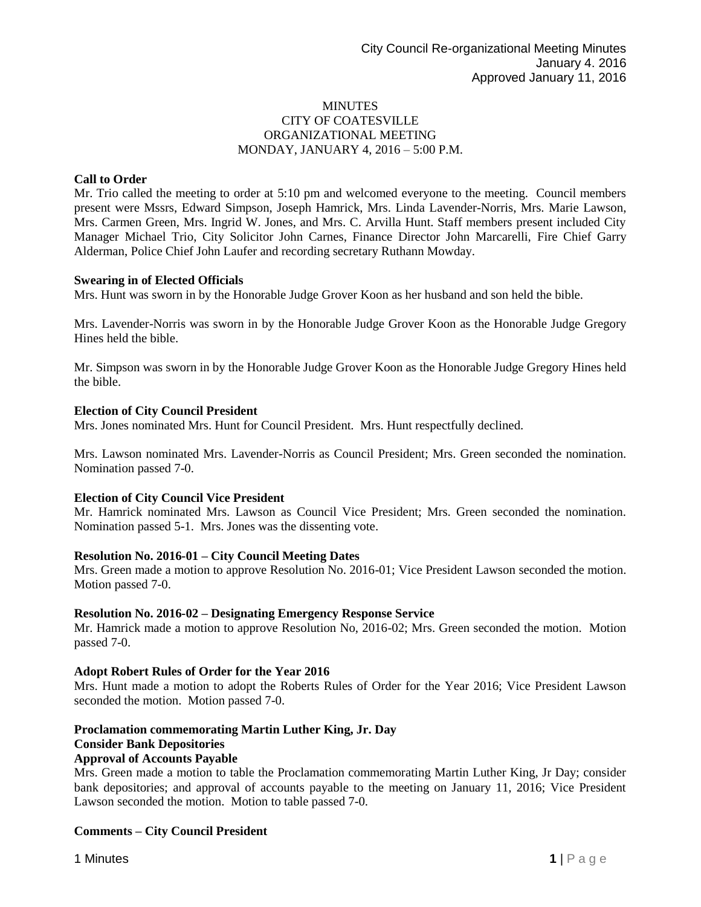## **MINUTES** CITY OF COATESVILLE ORGANIZATIONAL MEETING MONDAY, JANUARY 4, 2016 – 5:00 P.M.

# **Call to Order**

Mr. Trio called the meeting to order at 5:10 pm and welcomed everyone to the meeting. Council members present were Mssrs, Edward Simpson, Joseph Hamrick, Mrs. Linda Lavender-Norris, Mrs. Marie Lawson, Mrs. Carmen Green, Mrs. Ingrid W. Jones, and Mrs. C. Arvilla Hunt. Staff members present included City Manager Michael Trio, City Solicitor John Carnes, Finance Director John Marcarelli, Fire Chief Garry Alderman, Police Chief John Laufer and recording secretary Ruthann Mowday.

#### **Swearing in of Elected Officials**

Mrs. Hunt was sworn in by the Honorable Judge Grover Koon as her husband and son held the bible.

Mrs. Lavender-Norris was sworn in by the Honorable Judge Grover Koon as the Honorable Judge Gregory Hines held the bible.

Mr. Simpson was sworn in by the Honorable Judge Grover Koon as the Honorable Judge Gregory Hines held the bible.

## **Election of City Council President**

Mrs. Jones nominated Mrs. Hunt for Council President. Mrs. Hunt respectfully declined.

Mrs. Lawson nominated Mrs. Lavender-Norris as Council President; Mrs. Green seconded the nomination. Nomination passed 7-0.

#### **Election of City Council Vice President**

Mr. Hamrick nominated Mrs. Lawson as Council Vice President; Mrs. Green seconded the nomination. Nomination passed 5-1. Mrs. Jones was the dissenting vote.

#### **Resolution No. 2016-01 – City Council Meeting Dates**

Mrs. Green made a motion to approve Resolution No. 2016-01; Vice President Lawson seconded the motion. Motion passed 7-0.

#### **Resolution No. 2016-02 – Designating Emergency Response Service**

Mr. Hamrick made a motion to approve Resolution No, 2016-02; Mrs. Green seconded the motion. Motion passed 7-0.

#### **Adopt Robert Rules of Order for the Year 2016**

Mrs. Hunt made a motion to adopt the Roberts Rules of Order for the Year 2016; Vice President Lawson seconded the motion. Motion passed 7-0.

#### **Proclamation commemorating Martin Luther King, Jr. Day**

#### **Consider Bank Depositories**

#### **Approval of Accounts Payable**

Mrs. Green made a motion to table the Proclamation commemorating Martin Luther King, Jr Day; consider bank depositories; and approval of accounts payable to the meeting on January 11, 2016; Vice President Lawson seconded the motion. Motion to table passed 7-0.

#### **Comments – City Council President**